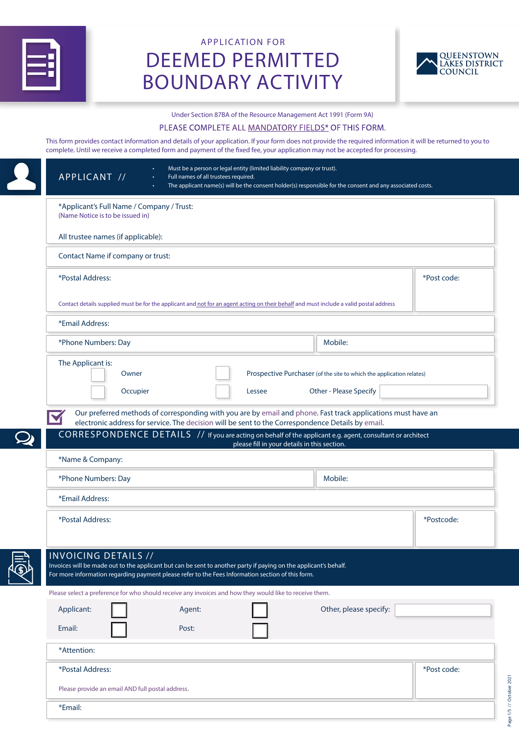

# APPLICATION FOR DEEMED PERMITTED BOUNDARY ACTIVITY



#### Under Section 87BA of the Resource Management Act 1991 (Form 9A)

#### PLEASE COMPLETE ALL MANDATORY FIELDS\* OF THIS FORM.

This form provides contact information and details of your application. If your form does not provide the required information it will be returned to you to complete. Until we receive a completed form and payment of the fixed fee, your application may not be accepted for processing.

| APPLICANT //                                                                                                                                                                                                                                         | Must be a person or legal entity (limited liability company or trust).<br>Full names of all trustees required. |                                              | The applicant name(s) will be the consent holder(s) responsible for the consent and any associated costs. |             |
|------------------------------------------------------------------------------------------------------------------------------------------------------------------------------------------------------------------------------------------------------|----------------------------------------------------------------------------------------------------------------|----------------------------------------------|-----------------------------------------------------------------------------------------------------------|-------------|
| *Applicant's Full Name / Company / Trust:<br>(Name Notice is to be issued in)                                                                                                                                                                        |                                                                                                                |                                              |                                                                                                           |             |
| All trustee names (if applicable):                                                                                                                                                                                                                   |                                                                                                                |                                              |                                                                                                           |             |
| Contact Name if company or trust:                                                                                                                                                                                                                    |                                                                                                                |                                              |                                                                                                           |             |
| *Postal Address:                                                                                                                                                                                                                                     |                                                                                                                |                                              |                                                                                                           | *Post code: |
| Contact details supplied must be for the applicant and not for an agent acting on their behalf and must include a valid postal address                                                                                                               |                                                                                                                |                                              |                                                                                                           |             |
| *Email Address:                                                                                                                                                                                                                                      |                                                                                                                |                                              |                                                                                                           |             |
| *Phone Numbers: Day                                                                                                                                                                                                                                  |                                                                                                                |                                              | Mobile:                                                                                                   |             |
| The Applicant is:<br>Owner                                                                                                                                                                                                                           |                                                                                                                |                                              | Prospective Purchaser (of the site to which the application relates)                                      |             |
| Occupier                                                                                                                                                                                                                                             |                                                                                                                | Lessee                                       | Other - Please Specify                                                                                    |             |
| CORRESPONDENCE DETAILS // If you are acting on behalf of the applicant e.g. agent, consultant or architect                                                                                                                                           | electronic address for service. The decision will be sent to the Correspondence Details by email.              |                                              |                                                                                                           |             |
| *Name & Company:                                                                                                                                                                                                                                     |                                                                                                                | please fill in your details in this section. |                                                                                                           |             |
| *Phone Numbers: Day                                                                                                                                                                                                                                  |                                                                                                                |                                              | Mobile:                                                                                                   |             |
| *Email Address:                                                                                                                                                                                                                                      |                                                                                                                |                                              |                                                                                                           |             |
| *Postal Address:                                                                                                                                                                                                                                     |                                                                                                                |                                              |                                                                                                           | *Postcode:  |
| <b>INVOICING DETAILS //</b><br>Invoices will be made out to the applicant but can be sent to another party if paying on the applicant's behalf.<br>For more information regarding payment please refer to the Fees Information section of this form. |                                                                                                                |                                              |                                                                                                           |             |
| Please select a preference for who should receive any invoices and how they would like to receive them.                                                                                                                                              |                                                                                                                |                                              |                                                                                                           |             |
| Applicant:<br>Email:                                                                                                                                                                                                                                 | Agent:<br>Post:                                                                                                |                                              | Other, please specify:                                                                                    |             |
| *Attention:                                                                                                                                                                                                                                          |                                                                                                                |                                              |                                                                                                           |             |
| *Postal Address:                                                                                                                                                                                                                                     |                                                                                                                |                                              |                                                                                                           | *Post code: |
| Please provide an email AND full postal address.                                                                                                                                                                                                     |                                                                                                                |                                              |                                                                                                           |             |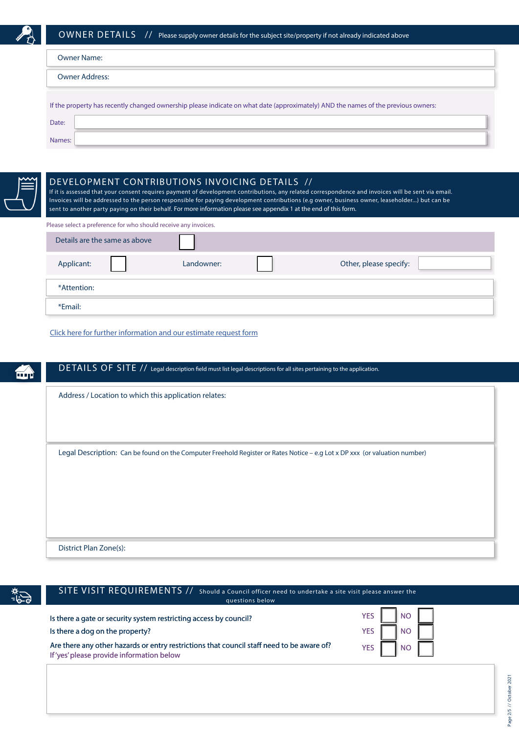

| <b>Owner Name:</b>                                                                                                                |  |  |
|-----------------------------------------------------------------------------------------------------------------------------------|--|--|
| <b>Owner Address:</b>                                                                                                             |  |  |
| If the property has recently changed ownership please indicate on what date (approximately) AND the names of the previous owners: |  |  |
| Date:                                                                                                                             |  |  |
| Names:                                                                                                                            |  |  |



# \*Attention: Details are the same as above Applicant: Landowner: Other, please specify: DE VELOPMENT CONTRIBUTIONS INVOICING DE TAILS // If it is assessed that your consent requires payment of development contributions, any related correspondence and invoices will be sent via email. Invoices will be addressed to the person responsible for paying development contributions (e.g owner, business owner, leaseholder...) but can be sent to another party paying on their behalf. For more information please see appendix 1 at the end of this form. Please select a preference for who should receive any invoices.

[Click here for further information and our estimate request form](https://www.qldc.govt.nz/planning/development-contributions/)

\*Email:

# DETAILS OF SITE // Legal description field must list legal descriptions for all sites pertaining to the application.

Address / Location to which this application relates:

Legal Description: Can be found on the Computer Freehold Register or Rates Notice - e.g Lot x DP xxx (or valuation number)

District Plan Zone(s):

| $\sum_{i=1}^{n}$ | SITE VISIT REQUIREMENTS // Should a Council officer need to undertake a site visit please answer the<br>questions below               |                       |
|------------------|---------------------------------------------------------------------------------------------------------------------------------------|-----------------------|
|                  | Is there a gate or security system restricting access by council?<br>Is there a dog on the property?                                  | N <sub>O</sub><br>YES |
|                  | Are there any other hazards or entry restrictions that council staff need to be aware of?<br>If'yes' please provide information below | <b>NO</b>             |
|                  |                                                                                                                                       |                       |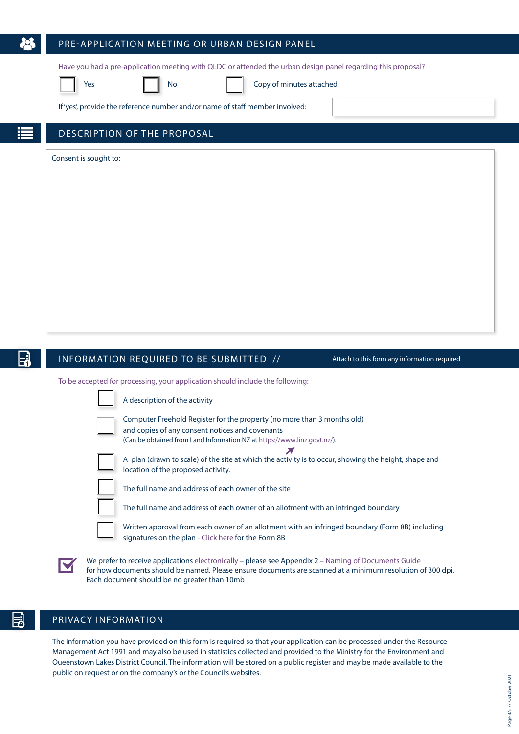# PRE-APPLICATION MEETING OR URBAN DESIGN PANEL

Have you had a pre-application meeting with QLDC or attended the urban design panel regarding this proposal?

Yes **No Copy of minutes attached** 

If 'yes', provide the reference number and/or name of staff member involved:

# DESCRIPTION OF THE PROPOSAL

Consent is sought to:

# INFORMATION REQUIRED TO BE SUBMITTED // Attach to this form any information required

To be accepted for processing, your application should include the following:

A description of the activity Computer Freehold Register for the property (no more than 3 months old)

and copies of any consent notices and covenants (Can be obtained from Land Information NZ at https://www.linz.govt.nz/).  $\sum_{i=1}^{n}$ 



A plan (drawn to scale) of the site at which the activity is to occur, showing the height, shape and location of the proposed activity.

The full name and address of each owner of the site

The full name and address of each owner of an allotment with an infringed boundary

Written approval from each owner of an allotment with an infringed boundary (Form 8B) including signatures on the plan [- Click here f](https://www.qldc.govt.nz/media/gdff3mmy/qldc-affected-persons-approval-form-8a-oct2017.pdf)or the Form 8B

We prefer to receive applications electronically – please see Appendix 2 – [Naming of Documents Guide](#page-4-0) for how documents should be named. Please ensure documents are scanned at a minimum resolution of 300 dpi. Each document should be no greater than 10mb

# PRIVACY INFORMATION

The information you have provided on this form is required so that your application can be processed under the Resource Management Act 1991 and may also be used in statistics collected and provided to the Ministry for the Environment and Queenstown Lakes District Council. The information will be stored on a public register and may be made available to the public on request or on the company's or the Council's websites.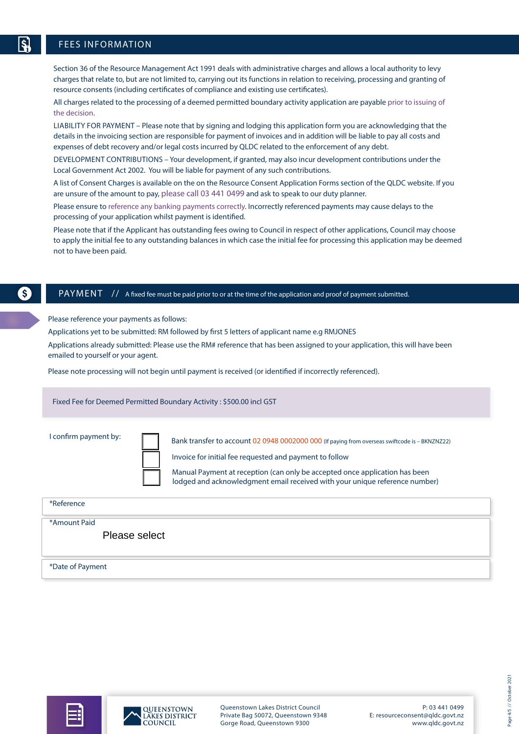Section 36 of the Resource Management Act 1991 deals with administrative charges and allows a local authority to levy charges that relate to, but are not limited to, carrying out its functions in relation to receiving, processing and granting of resource consents (including certificates of compliance and existing use certificates).

All charges related to the processing of a deemed permitted boundary activity application are payable prior to issuing of the decision.

LIABILITY FOR PAYMENT – Please note that by signing and lodging this application form you are acknowledging that the details in the invoicing section are responsible for payment of invoices and in addition will be liable to pay all costs and expenses of debt recovery and/or legal costs incurred by QLDC related to the enforcement of any debt.

DEVELOPMENT CONTRIBUTIONS – Your development, if granted, may also incur development contributions under the Local Government Act 2002. You will be liable for payment of any such contributions.

A list of Consent Charges is available on the on the Resource Consent Application Forms section of the QLDC website. If you are unsure of the amount to pay, please call 03 441 0499 and ask to speak to our duty planner.

Please ensure to reference any banking payments correctly. Incorrectly referenced payments may cause delays to the processing of your application whilst payment is identified.

Please note that if the Applicant has outstanding fees owing to Council in respect of other applications, Council may choose to apply the initial fee to any outstanding balances in which case the initial fee for processing this application may be deemed not to have been paid.

S.

#### PAYMENT // A fixed fee must be paid prior to or at the time of the application and proof of payment submitted.

Please reference your payments as follows:

Applications yet to be submitted: RM followed by first 5 letters of applicant name e.g RMJONES

Applications already submitted: Please use the RM# reference that has been assigned to your application, this will have been emailed to yourself or your agent.

Please note processing will not begin until payment is received (or identified if incorrectly referenced).

Fixed Fee for Deemed Permitted Boundary Activity : \$500.00 incl GST

I confirm payment by:

Bank transfer to account 02 0948 0002000 000 (If paying from overseas swiftcode is - BKNZNZ22)



Invoice for initial fee requested and payment to follow

Manual Payment at reception (can only be accepted once application has been lodged and acknowledgment email received with your unique reference number)

| *Reference                    |  |
|-------------------------------|--|
| *Amount Paid<br>Please select |  |
| *Date of Payment              |  |